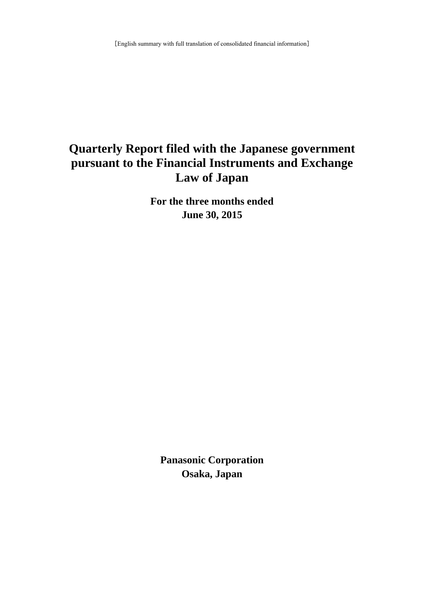# **Quarterly Report filed with the Japanese government pursuant to the Financial Instruments and Exchange Law of Japan**

**For the three months ended June 30, 2015**

**Panasonic Corporation Osaka, Japan**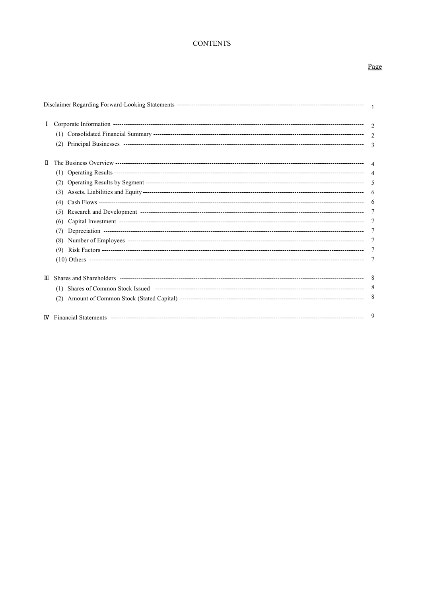# **CONTENTS**

# Page

| Ι. |     |  |
|----|-----|--|
|    |     |  |
|    |     |  |
| п  |     |  |
|    |     |  |
|    |     |  |
|    |     |  |
|    | (4) |  |
|    |     |  |
|    | (6) |  |
|    | (7) |  |
|    | (8) |  |
|    |     |  |
|    |     |  |
| Ш  |     |  |
|    |     |  |
|    |     |  |
|    |     |  |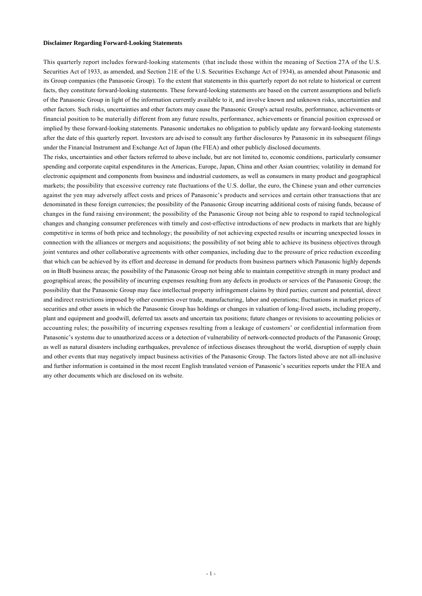#### **Disclaimer Regarding Forward-Looking Statements**

This quarterly report includes forward-looking statements (that include those within the meaning of Section 27A of the U.S. Securities Act of 1933, as amended, and Section 21E of the U.S. Securities Exchange Act of 1934), as amended about Panasonic and its Group companies (the Panasonic Group). To the extent that statements in this quarterly report do not relate to historical or current facts, they constitute forward-looking statements. These forward-looking statements are based on the current assumptions and beliefs of the Panasonic Group in light of the information currently available to it, and involve known and unknown risks, uncertainties and other factors. Such risks, uncertainties and other factors may cause the Panasonic Group's actual results, performance, achievements or financial position to be materially different from any future results, performance, achievements or financial position expressed or implied by these forward-looking statements. Panasonic undertakes no obligation to publicly update any forward-looking statements after the date of this quarterly report. Investors are advised to consult any further disclosures by Panasonic in its subsequent filings under the Financial Instrument and Exchange Act of Japan (the FIEA) and other publicly disclosed documents.

The risks, uncertainties and other factors referred to above include, but are not limited to, economic conditions, particularly consumer spending and corporate capital expenditures in the Americas, Europe, Japan, China and other Asian countries; volatility in demand for electronic equipment and components from business and industrial customers, as well as consumers in many product and geographical markets; the possibility that excessive currency rate fluctuations of the U.S. dollar, the euro, the Chinese yuan and other currencies against the yen may adversely affect costs and prices of Panasonic's products and services and certain other transactions that are denominated in these foreign currencies; the possibility of the Panasonic Group incurring additional costs of raising funds, because of changes in the fund raising environment; the possibility of the Panasonic Group not being able to respond to rapid technological changes and changing consumer preferences with timely and cost-effective introductions of new products in markets that are highly competitive in terms of both price and technology; the possibility of not achieving expected results or incurring unexpected losses in connection with the alliances or mergers and acquisitions; the possibility of not being able to achieve its business objectives through joint ventures and other collaborative agreements with other companies, including due to the pressure of price reduction exceeding that which can be achieved by its effort and decrease in demand for products from business partners which Panasonic highly depends on in BtoB business areas; the possibility of the Panasonic Group not being able to maintain competitive strength in many product and geographical areas; the possibility of incurring expenses resulting from any defects in products or services of the Panasonic Group; the possibility that the Panasonic Group may face intellectual property infringement claims by third parties; current and potential, direct and indirect restrictions imposed by other countries over trade, manufacturing, labor and operations; fluctuations in market prices of securities and other assets in which the Panasonic Group has holdings or changes in valuation of long-lived assets, including property, plant and equipment and goodwill, deferred tax assets and uncertain tax positions; future changes or revisions to accounting policies or accounting rules; the possibility of incurring expenses resulting from a leakage of customers' or confidential information from Panasonic's systems due to unauthorized access or a detection of vulnerability of network-connected products of the Panasonic Group; as well as natural disasters including earthquakes, prevalence of infectious diseases throughout the world, disruption of supply chain and other events that may negatively impact business activities of the Panasonic Group. The factors listed above are not all-inclusive and further information is contained in the most recent English translated version of Panasonic's securities reports under the FIEA and any other documents which are disclosed on its website.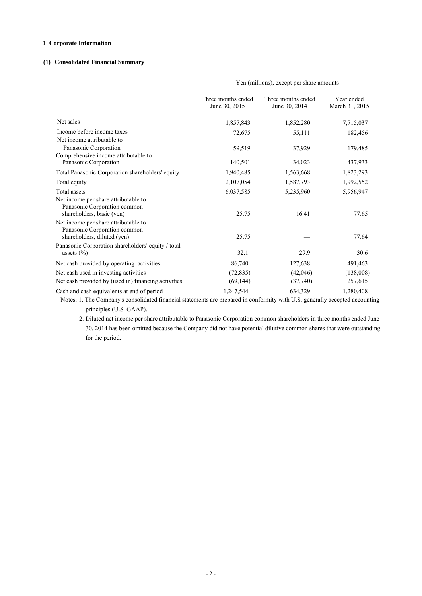# I **Corporate Information**

# **(1) Consolidated Financial Summary**

|                                                                                                                                           | Yen (millions), except per share amounts |                                     |                              |
|-------------------------------------------------------------------------------------------------------------------------------------------|------------------------------------------|-------------------------------------|------------------------------|
|                                                                                                                                           | Three months ended<br>June 30, 2015      | Three months ended<br>June 30, 2014 | Year ended<br>March 31, 2015 |
| Net sales                                                                                                                                 | 1,857,843                                | 1,852,280                           | 7,715,037                    |
| Income before income taxes                                                                                                                | 72,675                                   | 55,111                              | 182,456                      |
| Net income attributable to<br>Panasonic Corporation<br>Comprehensive income attributable to<br>Panasonic Corporation                      | 59,519<br>140,501                        | 37,929<br>34,023                    | 179,485<br>437,933           |
| Total Panasonic Corporation shareholders' equity                                                                                          | 1,940,485                                | 1,563,668                           | 1,823,293                    |
| Total equity                                                                                                                              | 2,107,054                                | 1,587,793                           | 1,992,552                    |
| <b>Total assets</b>                                                                                                                       | 6,037,585                                | 5,235,960                           | 5,956,947                    |
| Net income per share attributable to<br>Panasonic Corporation common<br>shareholders, basic (yen)<br>Net income per share attributable to | 25.75                                    | 16.41                               | 77.65                        |
| Panasonic Corporation common<br>shareholders, diluted (yen)                                                                               | 25.75                                    |                                     | 77.64                        |
| Panasonic Corporation shareholders' equity / total<br>assets $(\% )$                                                                      | 32.1                                     | 29.9                                | 30.6                         |
| Net cash provided by operating activities                                                                                                 | 86,740                                   | 127,638                             | 491,463                      |
| Net cash used in investing activities                                                                                                     | (72, 835)                                | (42,046)                            | (138,008)                    |
| Net cash provided by (used in) financing activities                                                                                       | (69, 144)                                | (37,740)                            | 257,615                      |
| Cash and cash equivalents at end of period                                                                                                | 1,247,544                                | 634,329                             | 1,280,408                    |

 Notes: 1. The Company's consolidated financial statements are prepared in conformity with U.S. generally accepted accounting principles (U.S. GAAP).

 2. Diluted net income per share attributable to Panasonic Corporation common shareholders in three months ended June 30, 2014 has been omitted because the Company did not have potential dilutive common shares that were outstanding for the period.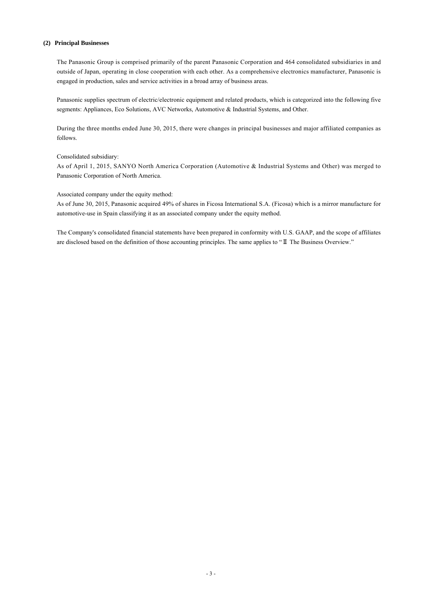### **(2) Principal Businesses**

The Panasonic Group is comprised primarily of the parent Panasonic Corporation and 464 consolidated subsidiaries in and outside of Japan, operating in close cooperation with each other. As a comprehensive electronics manufacturer, Panasonic is engaged in production, sales and service activities in a broad array of business areas.

Panasonic supplies spectrum of electric/electronic equipment and related products, which is categorized into the following five segments: Appliances, Eco Solutions, AVC Networks, Automotive & Industrial Systems, and Other.

During the three months ended June 30, 2015, there were changes in principal businesses and major affiliated companies as follows.

### Consolidated subsidiary:

As of April 1, 2015, SANYO North America Corporation (Automotive & Industrial Systems and Other) was merged to Panasonic Corporation of North America.

Associated company under the equity method:

As of June 30, 2015, Panasonic acquired 49% of shares in Ficosa International S.A. (Ficosa) which is a mirror manufacture for automotive-use in Spain classifying it as an associated company under the equity method.

The Company's consolidated financial statements have been prepared in conformity with U.S. GAAP, and the scope of affiliates are disclosed based on the definition of those accounting principles. The same applies to "Ⅱ The Business Overview."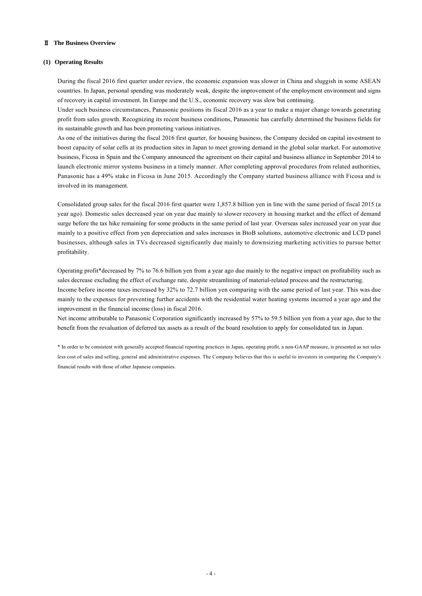### Ⅱ **The Business Overview**

### **(1) Operating Results**

During the fiscal 2016 first quarter under review, the economic expansion was slower in China and sluggish in some ASEAN countries. In Japan, personal spending was moderately weak, despite the improvement of the employment environment and signs of recovery in capital investment. In Europe and the U.S., economic recovery was slow but continuing.

Under such business circumstances, Panasonic positions its fiscal 2016 as a year to make a major change towards generating profit from sales growth. Recognizing its recent business conditions, Panasonic has carefully determined the business fields for its sustainable growth and has been promoting various initiatives.

As one of the initiatives during the fiscal 2016 first quarter, for housing business, the Company decided on capital investment to boost capacity of solar cells at its production sites in Japan to meet growing demand in the global solar market. For automotive business, Ficosa in Spain and the Company announced the agreement on their capital and business alliance in September 2014 to launch electronic mirror systems business in a timely manner. After completing approval procedures from related authorities, Panasonic has a 49% stake in Ficosa in June 2015. Accordingly the Company started business alliance with Ficosa and is involved in its management.

Consolidated group sales for the fiscal 2016 first quarter were 1,857.8 billion yen in line with the same period of fiscal 2015 (a year ago). Domestic sales decreased year on year due mainly to slower recovery in housing market and the effect of demand surge before the tax hike remaining for some products in the same period of last year. Overseas sales increased year on year due mainly to a positive effect from yen depreciation and sales increases in BtoB solutions, automotive electronic and LCD panel businesses, although sales in TVs decreased significantly due mainly to downsizing marketing activities to pursue better profitability.

Operating profit\*decreased by 7% to 76.6 billion yen from a year ago due mainly to the negative impact on profitability such as sales decrease excluding the effect of exchange rate, despite streamlining of material-related process and the restructuring. Income before income taxes increased by 32% to 72.7 billion yen comparing with the same period of last year. This was due mainly to the expenses for preventing further accidents with the residential water heating systems incurred a year ago and the improvement in the financial income (loss) in fiscal 2016.

Net income attributable to Panasonic Corporation significantly increased by 57% to 59.5 billion yen from a year ago, due to the benefit from the revaluation of deferred tax assets as a result of the board resolution to apply for consolidated tax in Japan.

\* In order to be consistent with generally accepted financial reporting practices in Japan, operating profit, a non-GAAP measure, is presented as net sales less cost of sales and selling, general and administrative expenses. The Company believes that this is useful to investors in comparing the Company's financial results with those of other Japanese companies.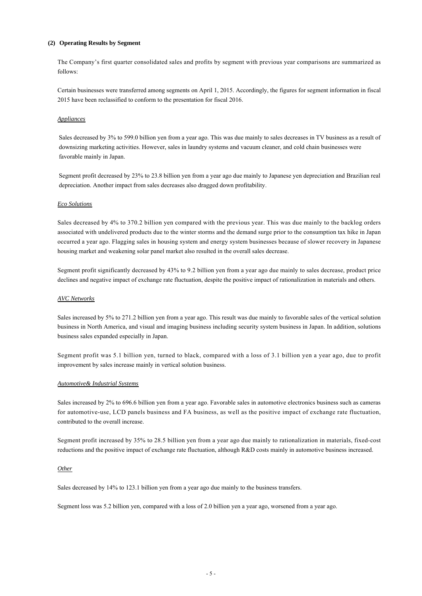### **(2) Operating Results by Segment**

The Company's first quarter consolidated sales and profits by segment with previous year comparisons are summarized as follows:

Certain businesses were transferred among segments on April 1, 2015. Accordingly, the figures for segment information in fiscal 2015 have been reclassified to conform to the presentation for fiscal 2016.

### *Appliances*

Sales decreased by 3% to 599.0 billion yen from a year ago. This was due mainly to sales decreases in TV business as a result of downsizing marketing activities. However, sales in laundry systems and vacuum cleaner, and cold chain businesses were favorable mainly in Japan.

Segment profit decreased by 23% to 23.8 billion yen from a year ago due mainly to Japanese yen depreciation and Brazilian real depreciation. Another impact from sales decreases also dragged down profitability.

#### *Eco Solutions*

Sales decreased by 4% to 370.2 billion yen compared with the previous year. This was due mainly to the backlog orders associated with undelivered products due to the winter storms and the demand surge prior to the consumption tax hike in Japan occurred a year ago. Flagging sales in housing system and energy system businesses because of slower recovery in Japanese housing market and weakening solar panel market also resulted in the overall sales decrease.

Segment profit significantly decreased by 43% to 9.2 billion yen from a year ago due mainly to sales decrease, product price declines and negative impact of exchange rate fluctuation, despite the positive impact of rationalization in materials and others.

### *AVC Networks*

Sales increased by 5% to 271.2 billion yen from a year ago. This result was due mainly to favorable sales of the vertical solution business in North America, and visual and imaging business including security system business in Japan. In addition, solutions business sales expanded especially in Japan.

Segment profit was 5.1 billion yen, turned to black, compared with a loss of 3.1 billion yen a year ago, due to profit improvement by sales increase mainly in vertical solution business.

### *Automotive& Industrial Systems*

Sales increased by 2% to 696.6 billion yen from a year ago. Favorable sales in automotive electronics business such as cameras for automotive-use, LCD panels business and FA business, as well as the positive impact of exchange rate fluctuation, contributed to the overall increase.

Segment profit increased by 35% to 28.5 billion yen from a year ago due mainly to rationalization in materials, fixed-cost reductions and the positive impact of exchange rate fluctuation, although R&D costs mainly in automotive business increased.

#### *Other*

Sales decreased by 14% to 123.1 billion yen from a year ago due mainly to the business transfers.

Segment loss was 5.2 billion yen, compared with a loss of 2.0 billion yen a year ago, worsened from a year ago.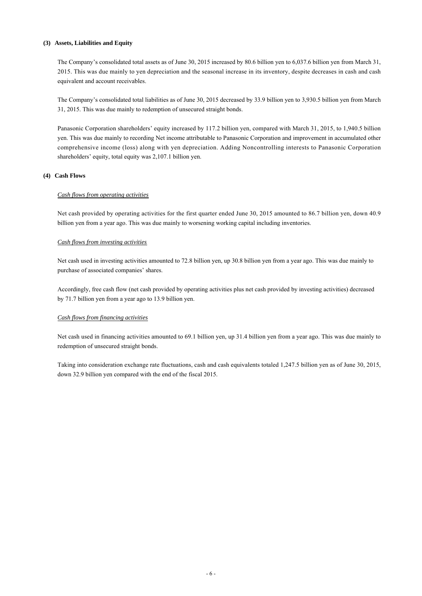### **(3) Assets, Liabilities and Equity**

The Company's consolidated total assets as of June 30, 2015 increased by 80.6 billion yen to 6,037.6 billion yen from March 31, 2015. This was due mainly to yen depreciation and the seasonal increase in its inventory, despite decreases in cash and cash equivalent and account receivables.

The Company's consolidated total liabilities as of June 30, 2015 decreased by 33.9 billion yen to 3,930.5 billion yen from March 31, 2015. This was due mainly to redemption of unsecured straight bonds.

Panasonic Corporation shareholders' equity increased by 117.2 billion yen, compared with March 31, 2015, to 1,940.5 billion yen. This was due mainly to recording Net income attributable to Panasonic Corporation and improvement in accumulated other comprehensive income (loss) along with yen depreciation. Adding Noncontrolling interests to Panasonic Corporation shareholders' equity, total equity was 2,107.1 billion yen.

# **(4) Cash Flows**

### *Cash flows from operating activities*

Net cash provided by operating activities for the first quarter ended June 30, 2015 amounted to 86.7 billion yen, down 40.9 billion yen from a year ago. This was due mainly to worsening working capital including inventories.

### *Cash flows from investing activities*

Net cash used in investing activities amounted to 72.8 billion yen, up 30.8 billion yen from a year ago. This was due mainly to purchase of associated companies' shares.

Accordingly, free cash flow (net cash provided by operating activities plus net cash provided by investing activities) decreased by 71.7 billion yen from a year ago to 13.9 billion yen.

### *Cash flows from financing activities*

Net cash used in financing activities amounted to 69.1 billion yen, up 31.4 billion yen from a year ago. This was due mainly to redemption of unsecured straight bonds.

Taking into consideration exchange rate fluctuations, cash and cash equivalents totaled 1,247.5 billion yen as of June 30, 2015, down 32.9 billion yen compared with the end of the fiscal 2015.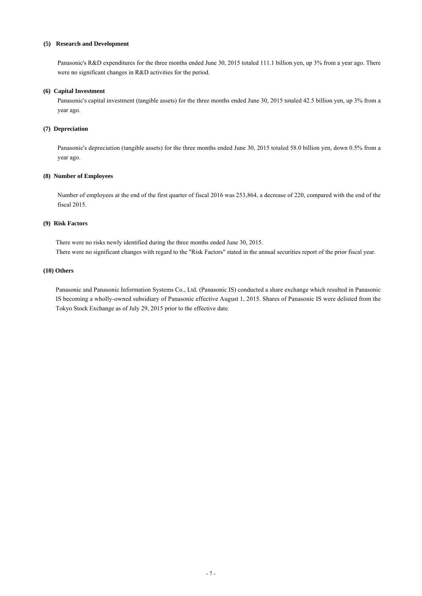### **(5) Research and Development**

Panasonic's R&D expenditures for the three months ended June 30, 2015 totaled 111.1 billion yen, up 3% from a year ago. There were no significant changes in R&D activities for the period.

### **(6) Capital Investment**

Panasonic's capital investment (tangible assets) for the three months ended June 30, 2015 totaled 42.5 billion yen, up 3% from a year ago.

### **(7) Depreciation**

Panasonic's depreciation (tangible assets) for the three months ended June 30, 2015 totaled 58.0 billion yen, down 0.5% from a year ago.

### **(8) Number of Employees**

Number of employees at the end of the first quarter of fiscal 2016 was 253,864, a decrease of 220, compared with the end of the fiscal 2015.

# **(9) Risk Factors**

There were no risks newly identified during the three months ended June 30, 2015. There were no significant changes with regard to the "Risk Factors" stated in the annual securities report of the prior fiscal year.

### **(10) Others**

Panasonic and Panasonic Information Systems Co., Ltd. (Panasonic IS) conducted a share exchange which resulted in Panasonic IS becoming a wholly-owned subsidiary of Panasonic effective August 1, 2015. Shares of Panasonic IS were delisted from the Tokyo Stock Exchange as of July 29, 2015 prior to the effective date.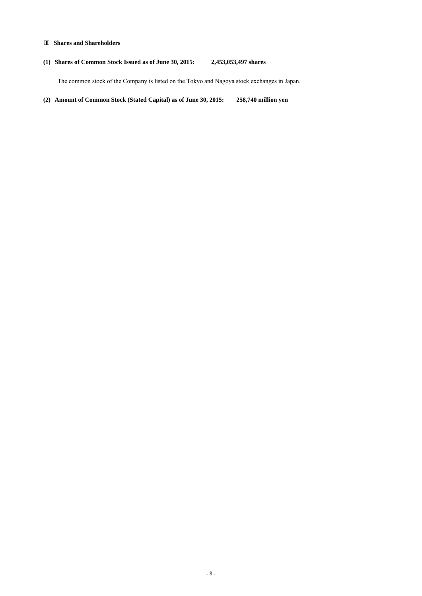# Ⅲ **Shares and Shareholders**

# **(1) Shares of Common Stock Issued as of June 30, 2015: 2,453,053,497 shares**

The common stock of the Company is listed on the Tokyo and Nagoya stock exchanges in Japan.

**(2) Amount of Common Stock (Stated Capital) as of June 30, 2015: 258,740 million yen**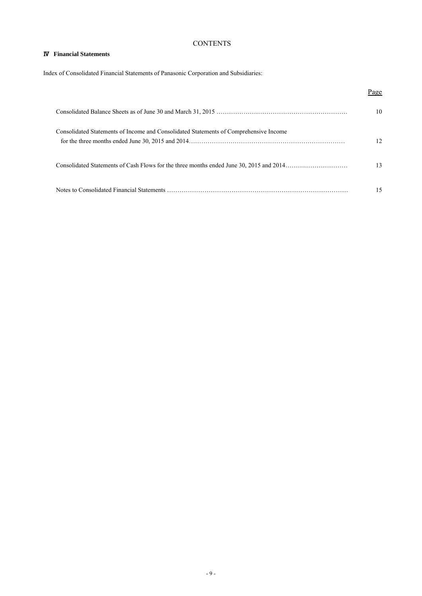# **CONTENTS**

# Ⅳ **Financial Statements**

Index of Consolidated Financial Statements of Panasonic Corporation and Subsidiaries:

|                                                                                       | Page |
|---------------------------------------------------------------------------------------|------|
|                                                                                       | 10   |
| Consolidated Statements of Income and Consolidated Statements of Comprehensive Income | 12   |
|                                                                                       | 13   |
|                                                                                       | 15   |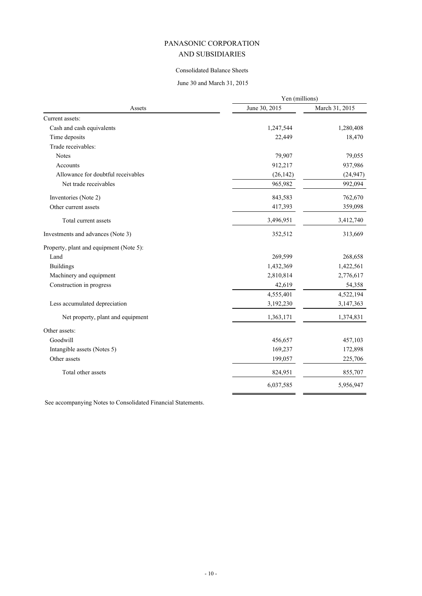# Consolidated Balance Sheets

# June 30 and March 31, 2015

|                                         | Yen (millions) |                |  |
|-----------------------------------------|----------------|----------------|--|
| Assets                                  | June 30, 2015  | March 31, 2015 |  |
| Current assets:                         |                |                |  |
| Cash and cash equivalents               | 1,247,544      | 1,280,408      |  |
| Time deposits                           | 22,449         | 18,470         |  |
| Trade receivables:                      |                |                |  |
| <b>Notes</b>                            | 79,907         | 79,055         |  |
| Accounts                                | 912,217        | 937,986        |  |
| Allowance for doubtful receivables      | (26, 142)      | (24, 947)      |  |
| Net trade receivables                   | 965,982        | 992,094        |  |
| Inventories (Note 2)                    | 843,583        | 762,670        |  |
| Other current assets                    | 417,393        | 359,098        |  |
| Total current assets                    | 3,496,951      | 3,412,740      |  |
| Investments and advances (Note 3)       | 352,512        | 313,669        |  |
| Property, plant and equipment (Note 5): |                |                |  |
| Land                                    | 269,599        | 268,658        |  |
| <b>Buildings</b>                        | 1,432,369      | 1,422,561      |  |
| Machinery and equipment                 | 2,810,814      | 2,776,617      |  |
| Construction in progress                | 42,619         | 54,358         |  |
|                                         | 4,555,401      | 4,522,194      |  |
| Less accumulated depreciation           | 3,192,230      | 3,147,363      |  |
| Net property, plant and equipment       | 1,363,171      | 1,374,831      |  |
| Other assets:                           |                |                |  |
| Goodwill                                | 456,657        | 457,103        |  |
| Intangible assets (Notes 5)             | 169,237        | 172,898        |  |
| Other assets                            | 199,057        | 225,706        |  |
| Total other assets                      | 824,951        | 855,707        |  |
|                                         | 6,037,585      | 5,956,947      |  |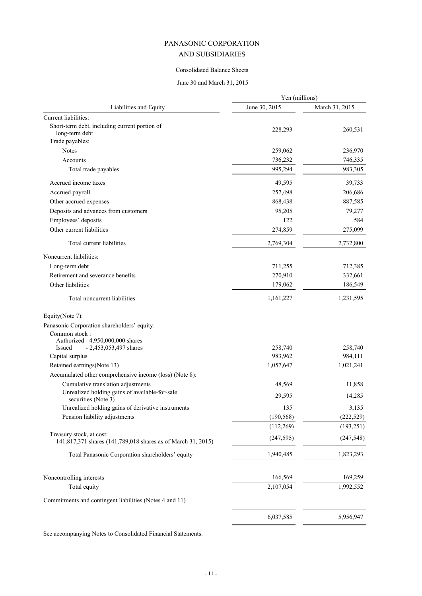# Consolidated Balance Sheets

# June 30 and March 31, 2015

|                                                                                          | Yen (millions) |                |
|------------------------------------------------------------------------------------------|----------------|----------------|
| Liabilities and Equity                                                                   | June 30, 2015  | March 31, 2015 |
| Current liabilities:                                                                     |                |                |
| Short-term debt, including current portion of<br>long-term debt                          | 228,293        | 260,531        |
| Trade payables:                                                                          |                |                |
| <b>Notes</b>                                                                             | 259,062        | 236,970        |
| Accounts                                                                                 | 736,232        | 746,335        |
| Total trade payables                                                                     | 995,294        | 983,305        |
| Accrued income taxes                                                                     | 49,595         | 39,733         |
| Accrued payroll                                                                          | 257,498        | 206,686        |
| Other accrued expenses                                                                   | 868,438        | 887,585        |
| Deposits and advances from customers                                                     | 95,205         | 79,277         |
| Employees' deposits                                                                      | 122            | 584            |
| Other current liabilities                                                                | 274,859        | 275,099        |
| Total current liabilities                                                                | 2,769,304      | 2,732,800      |
| Noncurrent liabilities:                                                                  |                |                |
| Long-term debt                                                                           | 711,255        | 712,385        |
| Retirement and severance benefits                                                        | 270,910        | 332,661        |
| Other liabilities                                                                        | 179,062        | 186,549        |
| Total noncurrent liabilities                                                             | 1,161,227      | 1,231,595      |
| Equity(Note 7):                                                                          |                |                |
| Panasonic Corporation shareholders' equity:                                              |                |                |
| Common stock:                                                                            |                |                |
| Authorized - 4,950,000,000 shares<br>$-2,453,053,497$ shares<br>Issued                   | 258,740        | 258,740        |
| Capital surplus                                                                          | 983,962        | 984,111        |
| Retained earnings(Note 13)                                                               | 1,057,647      | 1,021,241      |
| Accumulated other comprehensive income (loss) (Note 8):                                  |                |                |
| Cumulative translation adjustments                                                       | 48,569         | 11,858         |
| Unrealized holding gains of available-for-sale<br>securities (Note 3)                    | 29,595         | 14,285         |
| Unrealized holding gains of derivative instruments                                       | 135            | 3,135          |
| Pension liability adjustments                                                            | (190, 568)     | (222, 529)     |
|                                                                                          | (112, 269)     | (193, 251)     |
| Treasury stock, at cost:<br>141,817,371 shares (141,789,018 shares as of March 31, 2015) | (247, 595)     | (247, 548)     |
| Total Panasonic Corporation shareholders' equity                                         | 1,940,485      | 1,823,293      |
| Noncontrolling interests                                                                 | 166,569        | 169,259        |
| Total equity                                                                             | 2,107,054      | 1,992,552      |
| Commitments and contingent liabilities (Notes 4 and 11)                                  |                |                |
|                                                                                          | 6,037,585      | 5,956,947      |
|                                                                                          |                |                |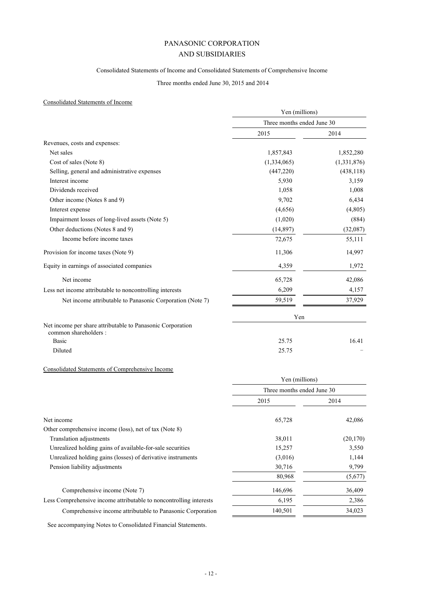# Consolidated Statements of Income and Consolidated Statements of Comprehensive Income

# Three months ended June 30, 2015 and 2014

# Consolidated Statements of Income

|                                                                                    | Yen (millions)             |             |
|------------------------------------------------------------------------------------|----------------------------|-------------|
|                                                                                    | Three months ended June 30 |             |
|                                                                                    | 2015                       | 2014        |
| Revenues, costs and expenses:                                                      |                            |             |
| Net sales                                                                          | 1,857,843                  | 1,852,280   |
| Cost of sales (Note 8)                                                             | (1,334,065)                | (1,331,876) |
| Selling, general and administrative expenses                                       | (447, 220)                 | (438, 118)  |
| Interest income                                                                    | 5,930                      | 3,159       |
| Dividends received                                                                 | 1,058                      | 1,008       |
| Other income (Notes 8 and 9)                                                       | 9,702                      | 6,434       |
| Interest expense                                                                   | (4,656)                    | (4, 805)    |
| Impairment losses of long-lived assets (Note 5)                                    | (1,020)                    | (884)       |
| Other deductions (Notes 8 and 9)                                                   | (14, 897)                  | (32,087)    |
| Income before income taxes                                                         | 72,675                     | 55,111      |
| Provision for income taxes (Note 9)                                                | 11,306                     | 14,997      |
| Equity in earnings of associated companies                                         | 4,359                      | 1,972       |
| Net income                                                                         | 65,728                     | 42,086      |
| Less net income attributable to noncontrolling interests                           | 6,209                      | 4,157       |
| Net income attributable to Panasonic Corporation (Note 7)                          | 59,519                     | 37,929      |
|                                                                                    | Yen                        |             |
| Net income per share attributable to Panasonic Corporation<br>common shareholders: |                            |             |
| <b>Basic</b>                                                                       | 25.75                      | 16.41       |
| Diluted                                                                            | 25.75                      |             |

# Consolidated Statements of Comprehensive Income

|                                                                    | Three months ended June 30 |           |
|--------------------------------------------------------------------|----------------------------|-----------|
|                                                                    | 2015                       | 2014      |
| Net income                                                         | 65,728                     | 42,086    |
| Other comprehensive income (loss), net of tax (Note 8)             |                            |           |
| Translation adjustments                                            | 38,011                     | (20, 170) |
| Unrealized holding gains of available-for-sale securities          | 15,257                     | 3,550     |
| Unrealized holding gains (losses) of derivative instruments        | (3,016)                    | 1,144     |
| Pension liability adjustments                                      | 30,716                     | 9,799     |
|                                                                    | 80,968                     | (5,677)   |
| Comprehensive income (Note 7)                                      | 146,696                    | 36,409    |
| Less Comprehensive income attributable to noncontrolling interests | 6,195                      | 2,386     |
| Comprehensive income attributable to Panasonic Corporation         | 140,501                    | 34,023    |

Yen (millions)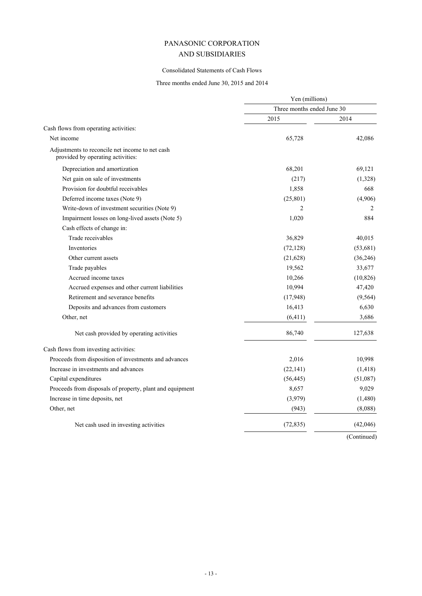# Consolidated Statements of Cash Flows

# Three months ended June 30, 2015 and 2014

|                                                                                      | Yen (millions)<br>Three months ended June 30 |           |
|--------------------------------------------------------------------------------------|----------------------------------------------|-----------|
|                                                                                      |                                              |           |
|                                                                                      | 2015                                         | 2014      |
| Cash flows from operating activities:                                                |                                              |           |
| Net income                                                                           | 65,728                                       | 42,086    |
| Adjustments to reconcile net income to net cash<br>provided by operating activities: |                                              |           |
| Depreciation and amortization                                                        | 68,201                                       | 69,121    |
| Net gain on sale of investments                                                      | (217)                                        | (1,328)   |
| Provision for doubtful receivables                                                   | 1,858                                        | 668       |
| Deferred income taxes (Note 9)                                                       | (25, 801)                                    | (4,906)   |
| Write-down of investment securities (Note 9)                                         | 2                                            | 2         |
| Impairment losses on long-lived assets (Note 5)                                      | 1,020                                        | 884       |
| Cash effects of change in:                                                           |                                              |           |
| Trade receivables                                                                    | 36,829                                       | 40,015    |
| <b>Inventories</b>                                                                   | (72, 128)                                    | (53,681)  |
| Other current assets                                                                 | (21, 628)                                    | (36, 246) |
| Trade payables                                                                       | 19,562                                       | 33,677    |
| Accrued income taxes                                                                 | 10,266                                       | (10, 826) |
| Accrued expenses and other current liabilities                                       | 10,994                                       | 47,420    |
| Retirement and severance benefits                                                    | (17, 948)                                    | (9, 564)  |
| Deposits and advances from customers                                                 | 16,413                                       | 6,630     |
| Other, net                                                                           | (6, 411)                                     | 3,686     |
| Net cash provided by operating activities                                            | 86,740                                       | 127,638   |
| Cash flows from investing activities:                                                |                                              |           |
| Proceeds from disposition of investments and advances                                | 2,016                                        | 10,998    |
| Increase in investments and advances                                                 | (22, 141)                                    | (1, 418)  |
| Capital expenditures                                                                 | (56, 445)                                    | (51,087)  |
| Proceeds from disposals of property, plant and equipment                             | 8,657                                        | 9,029     |
| Increase in time deposits, net                                                       | (3,979)                                      | (1,480)   |
| Other, net                                                                           | (943)                                        | (8,088)   |
| Net cash used in investing activities                                                | (72, 835)                                    | (42,046)  |
|                                                                                      |                                              |           |

(Continued)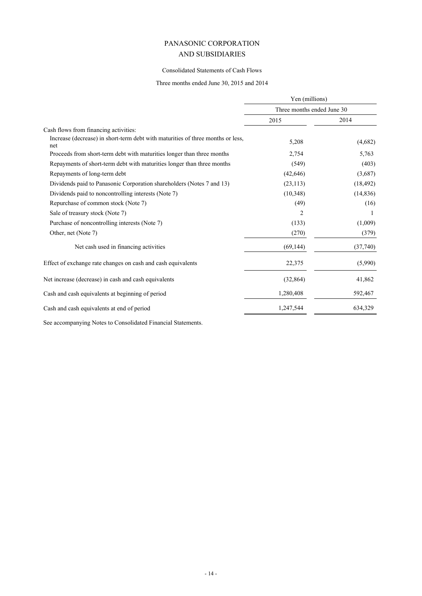# Consolidated Statements of Cash Flows

Three months ended June 30, 2015 and 2014

|                                                                                        | Yen (millions)<br>Three months ended June 30 |           |
|----------------------------------------------------------------------------------------|----------------------------------------------|-----------|
|                                                                                        |                                              |           |
|                                                                                        | 2015                                         | 2014      |
| Cash flows from financing activities:                                                  |                                              |           |
| Increase (decrease) in short-term debt with maturities of three months or less,<br>net | 5,208                                        | (4,682)   |
| Proceeds from short-term debt with maturities longer than three months                 | 2,754                                        | 5,763     |
| Repayments of short-term debt with maturities longer than three months                 | (549)                                        | (403)     |
| Repayments of long-term debt                                                           | (42, 646)                                    | (3,687)   |
| Dividends paid to Panasonic Corporation shareholders (Notes 7 and 13)                  | (23, 113)                                    | (18, 492) |
| Dividends paid to noncontrolling interests (Note 7)                                    | (10, 348)                                    | (14, 836) |
| Repurchase of common stock (Note 7)                                                    | (49)                                         | (16)      |
| Sale of treasury stock (Note 7)                                                        | 2                                            |           |
| Purchase of noncontrolling interests (Note 7)                                          | (133)                                        | (1,009)   |
| Other, net (Note 7)                                                                    | (270)                                        | (379)     |
| Net cash used in financing activities                                                  | (69, 144)                                    | (37,740)  |
| Effect of exchange rate changes on cash and cash equivalents                           | 22,375                                       | (5,990)   |
| Net increase (decrease) in cash and cash equivalents                                   | (32, 864)                                    | 41,862    |
| Cash and cash equivalents at beginning of period                                       | 1,280,408                                    | 592,467   |
| Cash and cash equivalents at end of period                                             | 1,247,544                                    | 634,329   |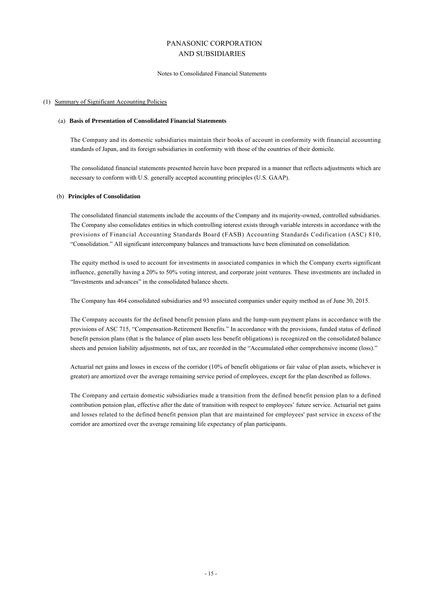#### Notes to Consolidated Financial Statements

### (1) Summary of Significant Accounting Policies

### (a) **Basis of Presentation of Consolidated Financial Statements**

The Company and its domestic subsidiaries maintain their books of account in conformity with financial accounting standards of Japan, and its foreign subsidiaries in conformity with those of the countries of their domicile.

The consolidated financial statements presented herein have been prepared in a manner that reflects adjustments which are necessary to conform with U.S. generally accepted accounting principles (U.S. GAAP).

### (b) **Principles of Consolidation**

The consolidated financial statements include the accounts of the Company and its majority-owned, controlled subsidiaries. The Company also consolidates entities in which controlling interest exists through variable interests in accordance with the provisions of Financial Accounting Standards Board (FASB) Accounting Standards Codification (ASC) 810, "Consolidation." All significant intercompany balances and transactions have been eliminated on consolidation.

The equity method is used to account for investments in associated companies in which the Company exerts significant influence, generally having a 20% to 50% voting interest, and corporate joint ventures. These investments are included in "Investments and advances" in the consolidated balance sheets.

The Company has 464 consolidated subsidiaries and 93 associated companies under equity method as of June 30, 2015.

The Company accounts for the defined benefit pension plans and the lump-sum payment plans in accordance with the provisions of ASC 715, "Compensation-Retirement Benefits." In accordance with the provisions, funded status of defined benefit pension plans (that is the balance of plan assets less benefit obligations) is recognized on the consolidated balance sheets and pension liability adjustments, net of tax, are recorded in the "Accumulated other comprehensive income (loss)."

Actuarial net gains and losses in excess of the corridor (10% of benefit obligations or fair value of plan assets, whichever is greater) are amortized over the average remaining service period of employees, except for the plan described as follows.

The Company and certain domestic subsidiaries made a transition from the defined benefit pension plan to a defined contribution pension plan, effective after the date of transition with respect to employees' future service. Actuarial net gains and losses related to the defined benefit pension plan that are maintained for employees' past service in excess of the corridor are amortized over the average remaining life expectancy of plan participants.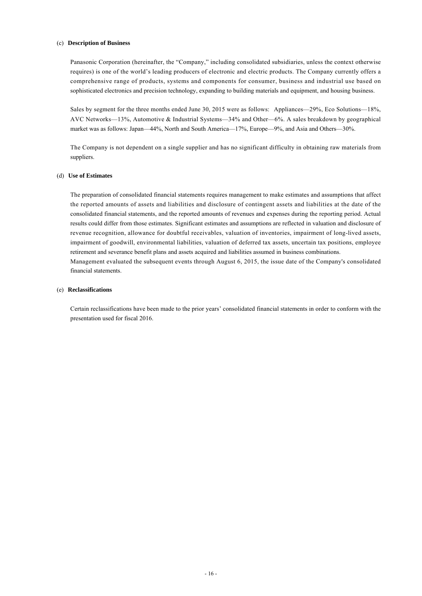### (c) **Description of Business**

Panasonic Corporation (hereinafter, the "Company," including consolidated subsidiaries, unless the context otherwise requires) is one of the world's leading producers of electronic and electric products. The Company currently offers a comprehensive range of products, systems and components for consumer, business and industrial use based on sophisticated electronics and precision technology, expanding to building materials and equipment, and housing business.

Sales by segment for the three months ended June 30, 2015 were as follows: Appliances—29%, Eco Solutions—18%, AVC Networks—13%, Automotive & Industrial Systems—34% and Other—6%. A sales breakdown by geographical market was as follows: Japan—44%, North and South America—17%, Europe—9%, and Asia and Others—30%.

The Company is not dependent on a single supplier and has no significant difficulty in obtaining raw materials from suppliers.

# (d) **Use of Estimates**

The preparation of consolidated financial statements requires management to make estimates and assumptions that affect the reported amounts of assets and liabilities and disclosure of contingent assets and liabilities at the date of the consolidated financial statements, and the reported amounts of revenues and expenses during the reporting period. Actual results could differ from those estimates. Significant estimates and assumptions are reflected in valuation and disclosure of revenue recognition, allowance for doubtful receivables, valuation of inventories, impairment of long-lived assets, impairment of goodwill, environmental liabilities, valuation of deferred tax assets, uncertain tax positions, employee retirement and severance benefit plans and assets acquired and liabilities assumed in business combinations. Management evaluated the subsequent events through August 6, 2015, the issue date of the Company's consolidated financial statements.

### (e) **Reclassifications**

Certain reclassifications have been made to the prior years' consolidated financial statements in order to conform with the presentation used for fiscal 2016.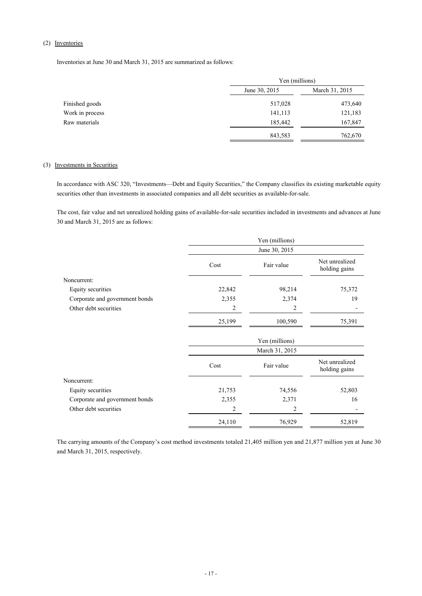# (2) Inventories

Inventories at June 30 and March 31, 2015 are summarized as follows:

|                 | Yen (millions) |                |
|-----------------|----------------|----------------|
|                 | June 30, 2015  | March 31, 2015 |
| Finished goods  | 517,028        | 473,640        |
| Work in process | 141,113        | 121,183        |
| Raw materials   | 185,442        | 167,847        |
|                 | 843,583        | 762,670        |

### (3) Investments in Securities

In accordance with ASC 320, "Investments—Debt and Equity Securities," the Company classifies its existing marketable equity securities other than investments in associated companies and all debt securities as available-for-sale.

The cost, fair value and net unrealized holding gains of available-for-sale securities included in investments and advances at June 30 and March 31, 2015 are as follows:

|                                | Yen (millions) |                |                                 |  |
|--------------------------------|----------------|----------------|---------------------------------|--|
|                                |                | June 30, 2015  |                                 |  |
|                                | Cost           | Fair value     | Net unrealized<br>holding gains |  |
| Noncurrent:                    |                |                |                                 |  |
| Equity securities              | 22,842         | 98,214         | 75,372                          |  |
| Corporate and government bonds | 2,355          | 2,374          | 19                              |  |
| Other debt securities          | 2              | 2              |                                 |  |
|                                | 25,199         | 100,590        | 75,391                          |  |
|                                |                | Yen (millions) |                                 |  |
|                                |                | March 31, 2015 |                                 |  |
|                                | Cost           | Fair value     | Net unrealized<br>holding gains |  |
| Noncurrent:                    |                |                |                                 |  |
| Equity securities              | 21,753         | 74,556         | 52,803                          |  |
| Corporate and government bonds | 2,355          | 2,371          | 16                              |  |
| Other debt securities          | 2              | 2              |                                 |  |
|                                | 24,110         | 76,929         | 52,819                          |  |

The carrying amounts of the Company's cost method investments totaled 21,405 million yen and 21,877 million yen at June 30 and March 31, 2015, respectively.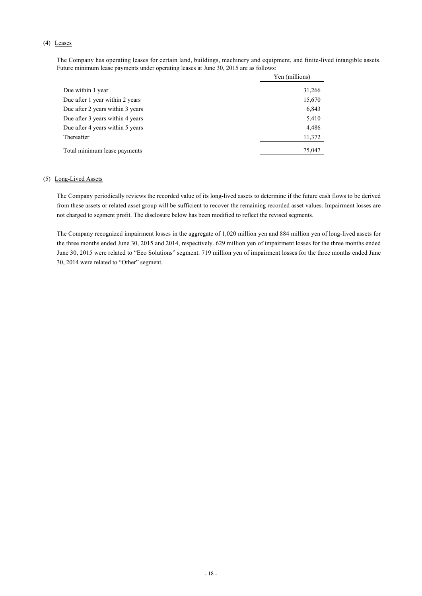# (4) Leases

The Company has operating leases for certain land, buildings, machinery and equipment, and finite-lived intangible assets. Future minimum lease payments under operating leases at June 30, 2015 are as follows:

|                                  | Yen (millions) |
|----------------------------------|----------------|
| Due within 1 year                | 31,266         |
| Due after 1 year within 2 years  | 15,670         |
| Due after 2 years within 3 years | 6,843          |
| Due after 3 years within 4 years | 5,410          |
| Due after 4 years within 5 years | 4,486          |
| Thereafter                       | 11,372         |
| Total minimum lease payments     | 75,047         |

### (5) Long-Lived Assets

The Company periodically reviews the recorded value of its long-lived assets to determine if the future cash flows to be derived from these assets or related asset group will be sufficient to recover the remaining recorded asset values. Impairment losses are not charged to segment profit. The disclosure below has been modified to reflect the revised segments.

The Company recognized impairment losses in the aggregate of 1,020 million yen and 884 million yen of long-lived assets for the three months ended June 30, 2015 and 2014, respectively. 629 million yen of impairment losses for the three months ended June 30, 2015 were related to "Eco Solutions" segment. 719 million yen of impairment losses for the three months ended June 30, 2014 were related to "Other" segment.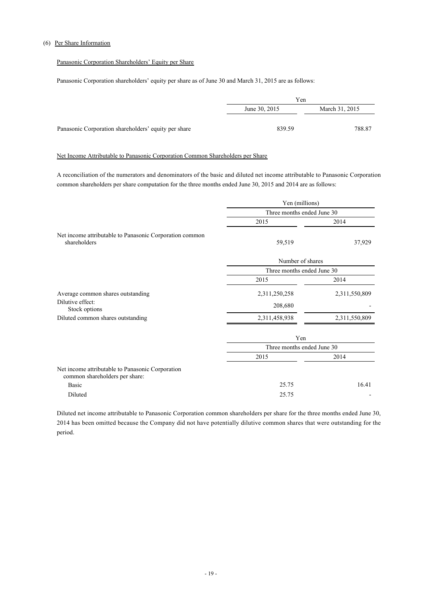# (6) Per Share Information

# Panasonic Corporation Shareholders' Equity per Share

Panasonic Corporation shareholders' equity per share as of June 30 and March 31, 2015 are as follows:

|                                                      | Yen           |                |
|------------------------------------------------------|---------------|----------------|
|                                                      | June 30, 2015 | March 31, 2015 |
|                                                      |               |                |
| Panasonic Corporation shareholders' equity per share | 839.59        | 788.87         |

# Net Income Attributable to Panasonic Corporation Common Shareholders per Share

A reconciliation of the numerators and denominators of the basic and diluted net income attributable to Panasonic Corporation common shareholders per share computation for the three months ended June 30, 2015 and 2014 are as follows:

|                                                                                    | Yen (millions)             |               |  |
|------------------------------------------------------------------------------------|----------------------------|---------------|--|
|                                                                                    | Three months ended June 30 |               |  |
|                                                                                    | 2015                       | 2014          |  |
| Net income attributable to Panasonic Corporation common<br>shareholders            | 59,519                     | 37,929        |  |
|                                                                                    | Number of shares           |               |  |
|                                                                                    | Three months ended June 30 |               |  |
|                                                                                    | 2015                       | 2014          |  |
| Average common shares outstanding                                                  | 2,311,250,258              | 2,311,550,809 |  |
| Dilutive effect:<br>Stock options                                                  | 208,680                    |               |  |
| Diluted common shares outstanding                                                  | 2,311,458,938              | 2,311,550,809 |  |
|                                                                                    | Yen                        |               |  |
|                                                                                    | Three months ended June 30 |               |  |
|                                                                                    | 2015                       | 2014          |  |
| Net income attributable to Panasonic Corporation<br>common shareholders per share: |                            |               |  |
| Basic                                                                              | 25.75                      | 16.41         |  |
| Diluted                                                                            | 25.75                      |               |  |

Diluted net income attributable to Panasonic Corporation common shareholders per share for the three months ended June 30, 2014 has been omitted because the Company did not have potentially dilutive common shares that were outstanding for the period.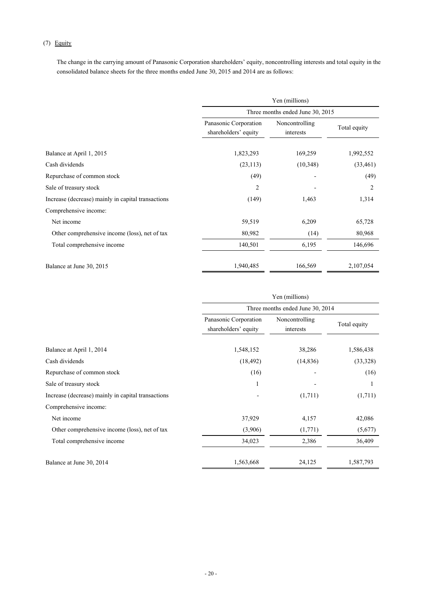# (7) Equity

The change in the carrying amount of Panasonic Corporation shareholders' equity, noncontrolling interests and total equity in the consolidated balance sheets for the three months ended June 30, 2015 and 2014 are as follows:

|                                                    | Yen (millions)                                |                             |                |  |  |
|----------------------------------------------------|-----------------------------------------------|-----------------------------|----------------|--|--|
|                                                    | Three months ended June 30, 2015              |                             |                |  |  |
|                                                    | Panasonic Corporation<br>shareholders' equity | Noncontrolling<br>interests | Total equity   |  |  |
| Balance at April 1, 2015                           | 1,823,293                                     | 169,259                     | 1,992,552      |  |  |
| Cash dividends                                     | (23, 113)                                     | (10,348)                    | (33, 461)      |  |  |
| Repurchase of common stock                         | (49)                                          |                             | (49)           |  |  |
| Sale of treasury stock                             | 2                                             |                             | $\overline{c}$ |  |  |
| Increase (decrease) mainly in capital transactions | (149)                                         | 1,463                       | 1,314          |  |  |
| Comprehensive income:                              |                                               |                             |                |  |  |
| Net income                                         | 59,519                                        | 6,209                       | 65,728         |  |  |
| Other comprehensive income (loss), net of tax      | 80,982                                        | (14)                        | 80,968         |  |  |
| Total comprehensive income                         | 140,501                                       | 6,195                       | 146,696        |  |  |
| Balance at June 30, 2015                           | 1,940,485                                     | 166,569                     | 2,107,054      |  |  |

|                                                    | Yen (millions)<br>Three months ended June 30, 2014 |                             |              |  |
|----------------------------------------------------|----------------------------------------------------|-----------------------------|--------------|--|
|                                                    |                                                    |                             |              |  |
|                                                    | Panasonic Corporation<br>shareholders' equity      | Noncontrolling<br>interests | Total equity |  |
| Balance at April 1, 2014                           | 1,548,152                                          | 38,286                      | 1,586,438    |  |
| Cash dividends                                     | (18, 492)                                          | (14, 836)                   | (33,328)     |  |
| Repurchase of common stock                         | (16)                                               |                             | (16)         |  |
| Sale of treasury stock                             |                                                    |                             |              |  |
| Increase (decrease) mainly in capital transactions |                                                    | (1,711)                     | (1,711)      |  |
| Comprehensive income:                              |                                                    |                             |              |  |
| Net income                                         | 37,929                                             | 4,157                       | 42,086       |  |
| Other comprehensive income (loss), net of tax      | (3,906)                                            | (1,771)                     | (5,677)      |  |
| Total comprehensive income                         | 34,023                                             | 2,386                       | 36,409       |  |
| Balance at June 30, 2014                           | 1,563,668                                          | 24,125                      | 1,587,793    |  |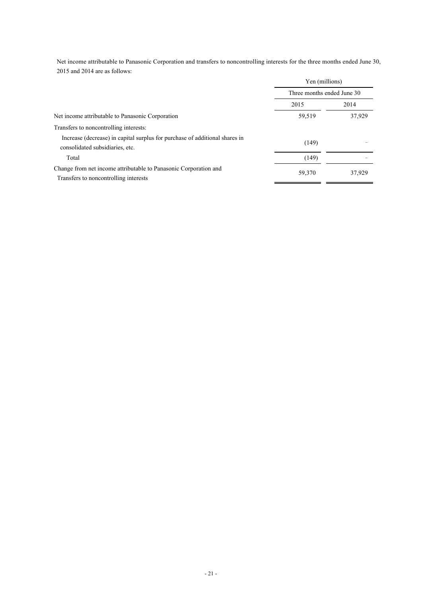Net income attributable to Panasonic Corporation and transfers to noncontrolling interests for the three months ended June 30, 2015 and 2014 are as follows:

|                                                                                                                | Yen (millions)<br>Three months ended June 30 |        |
|----------------------------------------------------------------------------------------------------------------|----------------------------------------------|--------|
|                                                                                                                |                                              |        |
|                                                                                                                | 2015                                         | 2014   |
| Net income attributable to Panasonic Corporation                                                               | 59,519                                       | 37,929 |
| Transfers to noncontrolling interests:                                                                         |                                              |        |
| Increase (decrease) in capital surplus for purchase of additional shares in<br>consolidated subsidiaries, etc. | (149)                                        |        |
| Total                                                                                                          | (149)                                        |        |
| Change from net income attributable to Panasonic Corporation and<br>Transfers to noncontrolling interests      | 59,370                                       | 37.929 |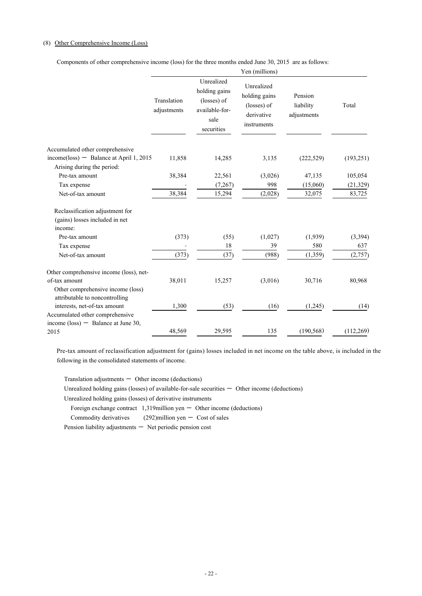# (8) Other Comprehensive Income (Loss)

Components of other comprehensive income (loss) for the three months ended June 30, 2015 are as follows:

|                                                                          |                            |                                                                                    | Yen (millions)                                                          |                                     |                     |
|--------------------------------------------------------------------------|----------------------------|------------------------------------------------------------------------------------|-------------------------------------------------------------------------|-------------------------------------|---------------------|
|                                                                          | Translation<br>adjustments | Unrealized<br>holding gains<br>(losses) of<br>available-for-<br>sale<br>securities | Unrealized<br>holding gains<br>(losses) of<br>derivative<br>instruments | Pension<br>liability<br>adjustments | Total               |
| Accumulated other comprehensive                                          |                            |                                                                                    |                                                                         |                                     |                     |
| $income(\text{loss})$ - Balance at April 1, 2015                         | 11,858                     | 14,285                                                                             | 3,135                                                                   | (222, 529)                          | (193, 251)          |
| Arising during the period:                                               |                            |                                                                                    |                                                                         |                                     |                     |
| Pre-tax amount                                                           | 38,384                     | 22,561                                                                             | (3,026)                                                                 | 47,135                              | 105,054             |
| Tax expense<br>Net-of-tax amount                                         | 38,384                     | (7, 267)<br>15,294                                                                 | 998<br>(2,028)                                                          | (15,060)<br>32,075                  | (21, 329)<br>83,725 |
|                                                                          |                            |                                                                                    |                                                                         |                                     |                     |
| Reclassification adjustment for                                          |                            |                                                                                    |                                                                         |                                     |                     |
| (gains) losses included in net                                           |                            |                                                                                    |                                                                         |                                     |                     |
| income:                                                                  |                            |                                                                                    |                                                                         |                                     |                     |
| Pre-tax amount                                                           | (373)                      | (55)                                                                               | (1,027)                                                                 | (1,939)                             | (3, 394)            |
| Tax expense                                                              |                            | 18                                                                                 | 39                                                                      | 580                                 | 637                 |
| Net-of-tax amount                                                        | (373)                      | (37)                                                                               | (988)                                                                   | (1, 359)                            | (2,757)             |
| Other comprehensive income (loss), net-                                  |                            |                                                                                    |                                                                         |                                     |                     |
| of-tax amount                                                            | 38,011                     | 15,257                                                                             | (3,016)                                                                 | 30,716                              | 80,968              |
| Other comprehensive income (loss)<br>attributable to noncontrolling      |                            |                                                                                    |                                                                         |                                     |                     |
| interests, net-of-tax amount                                             | 1,300                      | (53)                                                                               | (16)                                                                    | (1,245)                             | (14)                |
| Accumulated other comprehensive<br>income (loss) $-$ Balance at June 30, |                            |                                                                                    |                                                                         |                                     |                     |
| 2015                                                                     | 48,569                     | 29,595                                                                             | 135                                                                     | (190, 568)                          | (112, 269)          |
|                                                                          |                            |                                                                                    |                                                                         |                                     |                     |

Pre-tax amount of reclassification adjustment for (gains) losses included in net income on the table above, is included in the following in the consolidated statements of income.

 $Translation$  adjustments  $-$  Other income (deductions)

Unrealized holding gains (losses) of available-for-sale securities  $-$  Other income (deductions)

Unrealized holding gains (losses) of derivative instruments

Foreign exchange contract  $1,319$ million yen  $-$  Other income (deductions)

Commodity derivatives  $(292)$ million yen  $-$  Cost of sales

Pension liability adjustments  $-$  Net periodic pension cost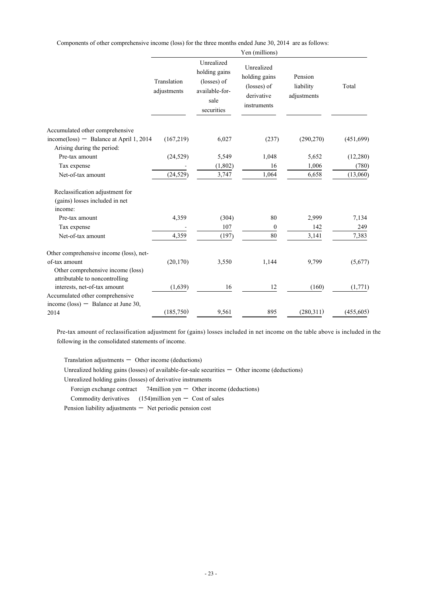Components of other comprehensive income (loss) for the three months ended June 30, 2014 are as follows:

|                                                                              |                            |                                                                                    | Yen (millions)                                                          |                                     |                   |
|------------------------------------------------------------------------------|----------------------------|------------------------------------------------------------------------------------|-------------------------------------------------------------------------|-------------------------------------|-------------------|
|                                                                              | Translation<br>adjustments | Unrealized<br>holding gains<br>(losses) of<br>available-for-<br>sale<br>securities | Unrealized<br>holding gains<br>(losses) of<br>derivative<br>instruments | Pension<br>liability<br>adjustments | Total             |
| Accumulated other comprehensive                                              |                            |                                                                                    |                                                                         |                                     |                   |
| $income(\text{loss})$ - Balance at April 1, 2014                             | (167,219)                  | 6,027                                                                              | (237)                                                                   | (290, 270)                          | (451,699)         |
| Arising during the period:                                                   |                            |                                                                                    |                                                                         |                                     |                   |
| Pre-tax amount                                                               | (24, 529)                  | 5,549                                                                              | 1,048<br>16                                                             | 5,652                               | (12, 280)         |
| Tax expense<br>Net-of-tax amount                                             | (24, 529)                  | (1, 802)<br>3,747                                                                  | 1,064                                                                   | 1,006<br>6,658                      | (780)<br>(13,060) |
| Reclassification adjustment for<br>(gains) losses included in net<br>income: |                            |                                                                                    |                                                                         |                                     |                   |
| Pre-tax amount                                                               | 4,359                      | (304)                                                                              | 80                                                                      | 2,999                               | 7,134             |
| Tax expense                                                                  |                            | 107                                                                                | $\boldsymbol{0}$                                                        | 142                                 | 249               |
| Net-of-tax amount                                                            | 4,359                      | (197)                                                                              | 80                                                                      | 3,141                               | 7,383             |
| Other comprehensive income (loss), net-                                      |                            |                                                                                    |                                                                         |                                     |                   |
| of-tax amount                                                                | (20, 170)                  | 3,550                                                                              | 1,144                                                                   | 9,799                               | (5,677)           |
| Other comprehensive income (loss)<br>attributable to noncontrolling          |                            |                                                                                    |                                                                         |                                     |                   |
| interests, net-of-tax amount                                                 | (1,639)                    | 16                                                                                 | 12                                                                      | (160)                               | (1,771)           |
| Accumulated other comprehensive                                              |                            |                                                                                    |                                                                         |                                     |                   |
| income (loss) $-$ Balance at June 30,                                        |                            |                                                                                    |                                                                         |                                     |                   |
| 2014                                                                         | (185, 750)                 | 9,561                                                                              | 895                                                                     | (280,311)                           | (455, 605)        |

Pre-tax amount of reclassification adjustment for (gains) losses included in net income on the table above is included in the following in the consolidated statements of income.

Translation adjustments  $-$  Other income (deductions)

Unrealized holding gains (losses) of available-for-sale securities  $-$  Other income (deductions)

Unrealized holding gains (losses) of derivative instruments

Foreign exchange contract  $74$ million yen  $-$  Other income (deductions)

Commodity derivatives  $(154)$ million yen - Cost of sales

Pension liability adjustments  $-$  Net periodic pension cost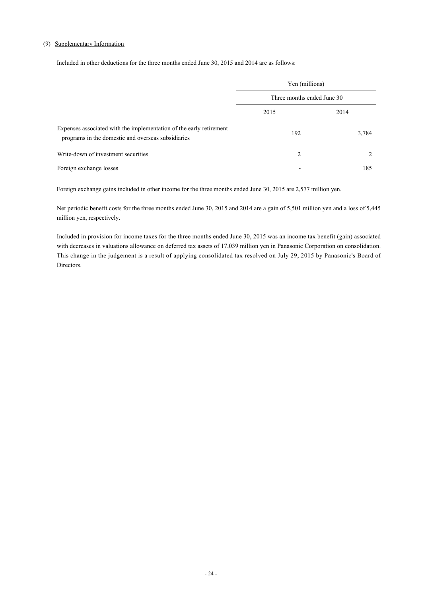### (9) Supplementary Information

Included in other deductions for the three months ended June 30, 2015 and 2014 are as follows:

|                                                                                                                                                                  | Yen (millions)<br>Three months ended June 30 |       |  |
|------------------------------------------------------------------------------------------------------------------------------------------------------------------|----------------------------------------------|-------|--|
|                                                                                                                                                                  |                                              |       |  |
|                                                                                                                                                                  | 2015                                         | 2014  |  |
| Expenses associated with the implementation of the early retirement<br>programs in the domestic and overseas subsidiaries<br>Write-down of investment securities | 192                                          | 3,784 |  |
|                                                                                                                                                                  | 2                                            |       |  |
| Foreign exchange losses                                                                                                                                          |                                              | 185   |  |

Foreign exchange gains included in other income for the three months ended June 30, 2015 are 2,577 million yen.

Net periodic benefit costs for the three months ended June 30, 2015 and 2014 are a gain of 5,501 million yen and a loss of 5,445 million yen, respectively.

Included in provision for income taxes for the three months ended June 30, 2015 was an income tax benefit (gain) associated with decreases in valuations allowance on deferred tax assets of 17,039 million yen in Panasonic Corporation on consolidation. This change in the judgement is a result of applying consolidated tax resolved on July 29, 2015 by Panasonic's Board of Directors.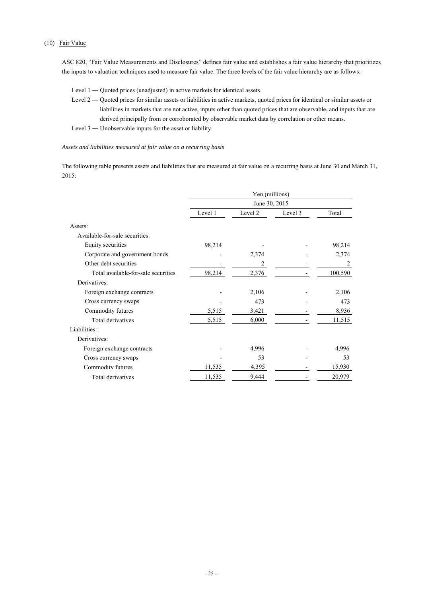# (10) Fair Value

ASC 820, "Fair Value Measurements and Disclosures" defines fair value and establishes a fair value hierarchy that prioritizes the inputs to valuation techniques used to measure fair value. The three levels of the fair value hierarchy are as follows:

- Level 1 Quoted prices (unadjusted) in active markets for identical assets.
- Level 2 Quoted prices for similar assets or liabilities in active markets, quoted prices for identical or similar assets or liabilities in markets that are not active, inputs other than quoted prices that are observable, and inputs that are derived principally from or corroborated by observable market data by correlation or other means.
- Level 3 ― Unobservable inputs for the asset or liability.

### *Assets and liabilities measured at fair value on a recurring basis*

The following table presents assets and liabilities that are measured at fair value on a recurring basis at June 30 and March 31, 2015:

|                                     | Yen (millions) |         |         |         |
|-------------------------------------|----------------|---------|---------|---------|
|                                     | June 30, 2015  |         |         |         |
|                                     | Level 1        | Level 2 | Level 3 | Total   |
| Assets:                             |                |         |         |         |
| Available-for-sale securities:      |                |         |         |         |
| Equity securities                   | 98,214         |         |         | 98,214  |
| Corporate and government bonds      |                | 2,374   |         | 2,374   |
| Other debt securities               |                | 2       |         | 2       |
| Total available-for-sale securities | 98,214         | 2,376   |         | 100,590 |
| Derivatives:                        |                |         |         |         |
| Foreign exchange contracts          |                | 2,106   |         | 2,106   |
| Cross currency swaps                |                | 473     |         | 473     |
| Commodity futures                   | 5,515          | 3,421   |         | 8,936   |
| Total derivatives                   | 5,515          | 6,000   |         | 11,515  |
| Liabilities:                        |                |         |         |         |
| Derivatives:                        |                |         |         |         |
| Foreign exchange contracts          |                | 4,996   |         | 4,996   |
| Cross currency swaps                |                | 53      |         | 53      |
| Commodity futures                   | 11,535         | 4,395   |         | 15,930  |
| Total derivatives                   | 11,535         | 9,444   |         | 20,979  |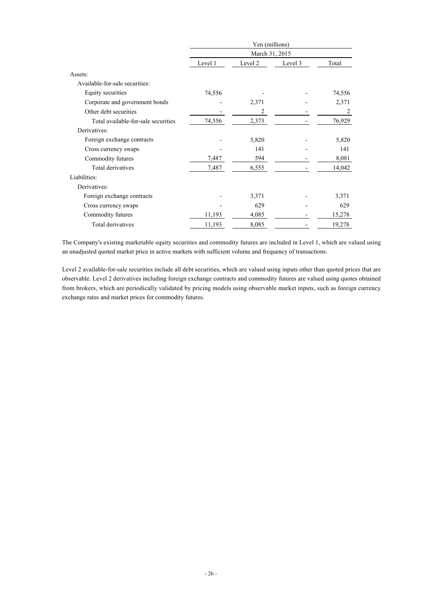|                                     | Yen (millions)<br>March 31, 2015 |         |         |        |
|-------------------------------------|----------------------------------|---------|---------|--------|
|                                     |                                  |         |         |        |
|                                     | Level 1                          | Level 2 | Level 3 | Total  |
| Assets:                             |                                  |         |         |        |
| Available-for-sale securities:      |                                  |         |         |        |
| Equity securities                   | 74,556                           |         |         | 74,556 |
| Corporate and government bonds      |                                  | 2,371   |         | 2,371  |
| Other debt securities               |                                  | 2       |         | 2      |
| Total available-for-sale securities | 74,556                           | 2,373   |         | 76,929 |
| Derivatives:                        |                                  |         |         |        |
| Foreign exchange contracts          |                                  | 5,820   |         | 5,820  |
| Cross currency swaps                |                                  | 141     |         | 141    |
| Commodity futures                   | 7,487                            | 594     |         | 8,081  |
| Total derivatives                   | 7,487                            | 6,555   |         | 14,042 |
| Liabilities:                        |                                  |         |         |        |
| Derivatives:                        |                                  |         |         |        |
| Foreign exchange contracts          |                                  | 3,371   |         | 3,371  |
| Cross currency swaps                |                                  | 629     |         | 629    |
| Commodity futures                   | 11,193                           | 4,085   |         | 15,278 |
| Total derivatives                   | 11,193                           | 8,085   |         | 19,278 |

The Company's existing marketable equity securities and commodity futures are included in Level 1, which are valued using an unadjusted quoted market price in active markets with sufficient volume and frequency of transactions.

Level 2 available-for-sale securities include all debt securities, which are valued using inputs other than quoted prices that are observable. Level 2 derivatives including foreign exchange contracts and commodity futures are valued using quotes obtained from brokers, which are periodically validated by pricing models using observable market inputs, such as foreign currency exchange rates and market prices for commodity futures.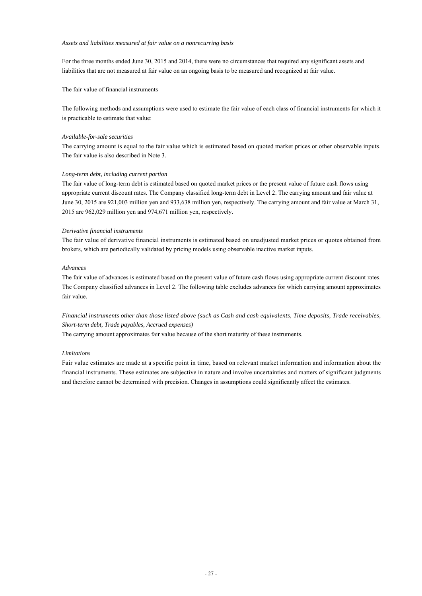#### *Assets and liabilities measured at fair value on a nonrecurring basis*

For the three months ended June 30, 2015 and 2014, there were no circumstances that required any significant assets and liabilities that are not measured at fair value on an ongoing basis to be measured and recognized at fair value.

The fair value of financial instruments

The following methods and assumptions were used to estimate the fair value of each class of financial instruments for which it is practicable to estimate that value:

#### *Available-for-sale securities*

The carrying amount is equal to the fair value which is estimated based on quoted market prices or other observable inputs. The fair value is also described in Note 3.

### *Long-term debt, including current portion*

The fair value of long-term debt is estimated based on quoted market prices or the present value of future cash flows using appropriate current discount rates. The Company classified long-term debt in Level 2. The carrying amount and fair value at June 30, 2015 are 921,003 million yen and 933,638 million yen, respectively. The carrying amount and fair value at March 31, 2015 are 962,029 million yen and 974,671 million yen, respectively.

### *Derivative financial instruments*

The fair value of derivative financial instruments is estimated based on unadjusted market prices or quotes obtained from brokers, which are periodically validated by pricing models using observable inactive market inputs.

### *Advances*

The fair value of advances is estimated based on the present value of future cash flows using appropriate current discount rates. The Company classified advances in Level 2. The following table excludes advances for which carrying amount approximates fair value.

*Financial instruments other than those listed above (such as Cash and cash equivalents, Time deposits, Trade receivables, Short-term debt, Trade payables, Accrued expenses)*

The carrying amount approximates fair value because of the short maturity of these instruments.

#### *Limitations*

Fair value estimates are made at a specific point in time, based on relevant market information and information about the financial instruments. These estimates are subjective in nature and involve uncertainties and matters of significant judgments and therefore cannot be determined with precision. Changes in assumptions could significantly affect the estimates.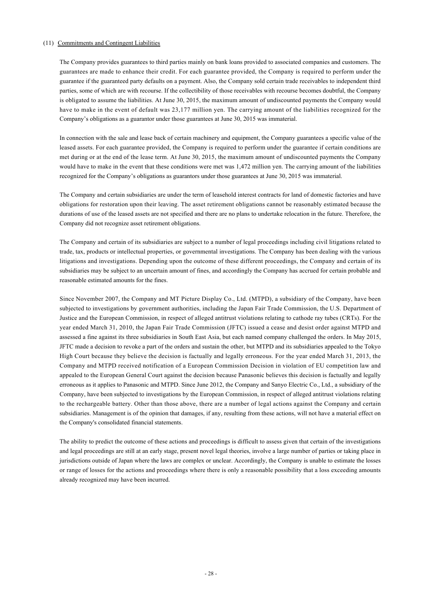### (11) Commitments and Contingent Liabilities

The Company provides guarantees to third parties mainly on bank loans provided to associated companies and customers. The guarantees are made to enhance their credit. For each guarantee provided, the Company is required to perform under the guarantee if the guaranteed party defaults on a payment. Also, the Company sold certain trade receivables to independent third parties, some of which are with recourse. If the collectibility of those receivables with recourse becomes doubtful, the Company is obligated to assume the liabilities. At June 30, 2015, the maximum amount of undiscounted payments the Company would have to make in the event of default was 23,177 million yen. The carrying amount of the liabilities recognized for the Company's obligations as a guarantor under those guarantees at June 30, 2015 was immaterial.

In connection with the sale and lease back of certain machinery and equipment, the Company guarantees a specific value of the leased assets. For each guarantee provided, the Company is required to perform under the guarantee if certain conditions are met during or at the end of the lease term. At June 30, 2015, the maximum amount of undiscounted payments the Company would have to make in the event that these conditions were met was 1,472 million yen. The carrying amount of the liabilities recognized for the Company's obligations as guarantors under those guarantees at June 30, 2015 was immaterial.

The Company and certain subsidiaries are under the term of leasehold interest contracts for land of domestic factories and have obligations for restoration upon their leaving. The asset retirement obligations cannot be reasonably estimated because the durations of use of the leased assets are not specified and there are no plans to undertake relocation in the future. Therefore, the Company did not recognize asset retirement obligations.

The Company and certain of its subsidiaries are subject to a number of legal proceedings including civil litigations related to trade, tax, products or intellectual properties, or governmental investigations. The Company has been dealing with the various litigations and investigations. Depending upon the outcome of these different proceedings, the Company and certain of its subsidiaries may be subject to an uncertain amount of fines, and accordingly the Company has accrued for certain probable and reasonable estimated amounts for the fines.

Since November 2007, the Company and MT Picture Display Co., Ltd. (MTPD), a subsidiary of the Company, have been subjected to investigations by government authorities, including the Japan Fair Trade Commission, the U.S. Department of Justice and the European Commission, in respect of alleged antitrust violations relating to cathode ray tubes (CRTs). For the year ended March 31, 2010, the Japan Fair Trade Commission (JFTC) issued a cease and desist order against MTPD and assessed a fine against its three subsidiaries in South East Asia, but each named company challenged the orders. In May 2015, JFTC made a decision to revoke a part of the orders and sustain the other, but MTPD and its subsidiaries appealed to the Tokyo High Court because they believe the decision is factually and legally erroneous. For the year ended March 31, 2013, the Company and MTPD received notification of a European Commission Decision in violation of EU competition law and appealed to the European General Court against the decision because Panasonic believes this decision is factually and legally erroneous as it applies to Panasonic and MTPD. Since June 2012, the Company and Sanyo Electric Co., Ltd., a subsidiary of the Company, have been subjected to investigations by the European Commission, in respect of alleged antitrust violations relating to the rechargeable battery. Other than those above, there are a number of legal actions against the Company and certain subsidiaries. Management is of the opinion that damages, if any, resulting from these actions, will not have a material effect on the Company's consolidated financial statements.

The ability to predict the outcome of these actions and proceedings is difficult to assess given that certain of the investigations and legal proceedings are still at an early stage, present novel legal theories, involve a large number of parties or taking place in jurisdictions outside of Japan where the laws are complex or unclear. Accordingly, the Company is unable to estimate the losses or range of losses for the actions and proceedings where there is only a reasonable possibility that a loss exceeding amounts already recognized may have been incurred.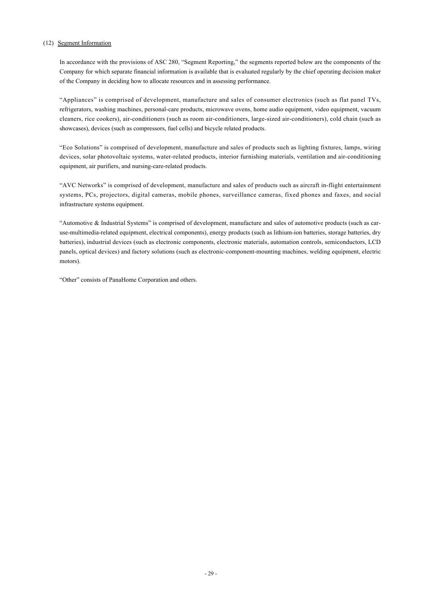### (12) Segment Information

In accordance with the provisions of ASC 280, "Segment Reporting," the segments reported below are the components of the Company for which separate financial information is available that is evaluated regularly by the chief operating decision maker of the Company in deciding how to allocate resources and in assessing performance.

"Appliances" is comprised of development, manufacture and sales of consumer electronics (such as flat panel TVs, refrigerators, washing machines, personal-care products, microwave ovens, home audio equipment, video equipment, vacuum cleaners, rice cookers), air-conditioners (such as room air-conditioners, large-sized air-conditioners), cold chain (such as showcases), devices (such as compressors, fuel cells) and bicycle related products.

"Eco Solutions" is comprised of development, manufacture and sales of products such as lighting fixtures, lamps, wiring devices, solar photovoltaic systems, water-related products, interior furnishing materials, ventilation and air-conditioning equipment, air purifiers, and nursing-care-related products.

"AVC Networks" is comprised of development, manufacture and sales of products such as aircraft in-flight entertainment systems, PCs, projectors, digital cameras, mobile phones, surveillance cameras, fixed phones and faxes, and social infrastructure systems equipment.

"Automotive & Industrial Systems" is comprised of development, manufacture and sales of automotive products (such as caruse-multimedia-related equipment, electrical components), energy products (such as lithium-ion batteries, storage batteries, dry batteries), industrial devices (such as electronic components, electronic materials, automation controls, semiconductors, LCD panels, optical devices) and factory solutions (such as electronic-component-mounting machines, welding equipment, electric motors).

"Other" consists of PanaHome Corporation and others.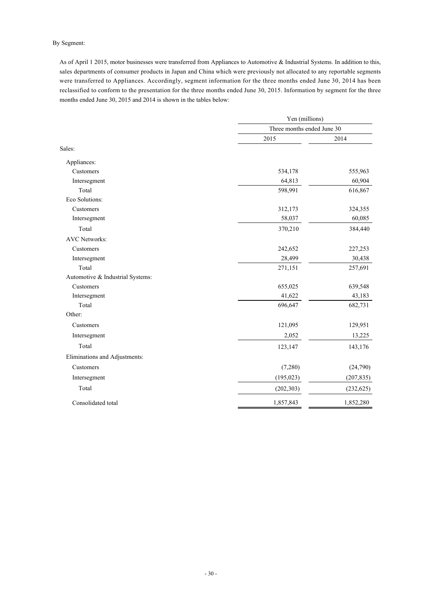# By Segment:

As of April 1 2015, motor businesses were transferred from Appliances to Automotive & Industrial Systems. In addition to this, sales departments of consumer products in Japan and China which were previously not allocated to any reportable segments were transferred to Appliances. Accordingly, segment information for the three months ended June 30, 2014 has been reclassified to conform to the presentation for the three months ended June 30, 2015. Information by segment for the three months ended June 30, 2015 and 2014 is shown in the tables below:

|                                  | Yen (millions)             |            |  |
|----------------------------------|----------------------------|------------|--|
|                                  | Three months ended June 30 |            |  |
|                                  | 2015                       | 2014       |  |
| Sales:                           |                            |            |  |
| Appliances:                      |                            |            |  |
| Customers                        | 534,178                    | 555,963    |  |
| Intersegment                     | 64,813                     | 60,904     |  |
| Total                            | 598,991                    | 616,867    |  |
| Eco Solutions:                   |                            |            |  |
| Customers                        | 312,173                    | 324,355    |  |
| Intersegment                     | 58,037                     | 60,085     |  |
| Total                            | 370,210                    | 384,440    |  |
| <b>AVC Networks:</b>             |                            |            |  |
| Customers                        | 242,652                    | 227,253    |  |
| Intersegment                     | 28,499                     | 30,438     |  |
| Total                            | 271,151                    | 257,691    |  |
| Automotive & Industrial Systems: |                            |            |  |
| Customers                        | 655,025                    | 639,548    |  |
| Intersegment                     | 41,622                     | 43,183     |  |
| Total                            | 696,647                    | 682,731    |  |
| Other:                           |                            |            |  |
| Customers                        | 121,095                    | 129,951    |  |
| Intersegment                     | 2,052                      | 13,225     |  |
| Total                            | 123,147                    | 143,176    |  |
| Eliminations and Adjustments:    |                            |            |  |
| Customers                        | (7,280)                    | (24,790)   |  |
| Intersegment                     | (195, 023)                 | (207, 835) |  |
| Total                            | (202, 303)                 | (232, 625) |  |
| Consolidated total               | 1,857,843                  | 1,852,280  |  |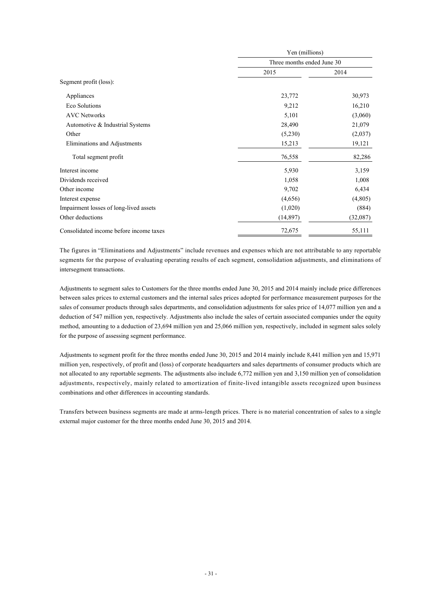|                                         | Yen (millions)<br>Three months ended June 30 |          |  |
|-----------------------------------------|----------------------------------------------|----------|--|
|                                         |                                              |          |  |
|                                         | 2015                                         | 2014     |  |
| Segment profit (loss):                  |                                              |          |  |
| Appliances                              | 23,772                                       | 30,973   |  |
| Eco Solutions                           | 9,212                                        | 16,210   |  |
| <b>AVC Networks</b>                     | 5,101                                        | (3,060)  |  |
| Automotive & Industrial Systems         | 28,490                                       | 21,079   |  |
| Other                                   | (5,230)                                      | (2,037)  |  |
| Eliminations and Adjustments            | 15,213                                       | 19,121   |  |
| Total segment profit                    | 76,558                                       | 82,286   |  |
| Interest income                         | 5,930                                        | 3,159    |  |
| Dividends received                      | 1,058                                        | 1,008    |  |
| Other income                            | 9,702                                        | 6,434    |  |
| Interest expense                        | (4,656)                                      | (4,805)  |  |
| Impairment losses of long-lived assets  | (1,020)                                      | (884)    |  |
| Other deductions                        | (14, 897)                                    | (32,087) |  |
| Consolidated income before income taxes | 72,675                                       | 55,111   |  |

The figures in "Eliminations and Adjustments" include revenues and expenses which are not attributable to any reportable segments for the purpose of evaluating operating results of each segment, consolidation adjustments, and eliminations of intersegment transactions.

Adjustments to segment sales to Customers for the three months ended June 30, 2015 and 2014 mainly include price differences between sales prices to external customers and the internal sales prices adopted for performance measurement purposes for the sales of consumer products through sales departments, and consolidation adjustments for sales price of 14,077 million yen and a deduction of 547 million yen, respectively. Adjustments also include the sales of certain associated companies under the equity method, amounting to a deduction of 23,694 million yen and 25,066 million yen, respectively, included in segment sales solely for the purpose of assessing segment performance.

Adjustments to segment profit for the three months ended June 30, 2015 and 2014 mainly include 8,441 million yen and 15,971 million yen, respectively, of profit and (loss) of corporate headquarters and sales departments of consumer products which are not allocated to any reportable segments. The adjustments also include 6,772 million yen and 3,150 million yen of consolidation adjustments, respectively, mainly related to amortization of finite-lived intangible assets recognized upon business combinations and other differences in accounting standards.

Transfers between business segments are made at arms-length prices. There is no material concentration of sales to a single external major customer for the three months ended June 30, 2015 and 2014.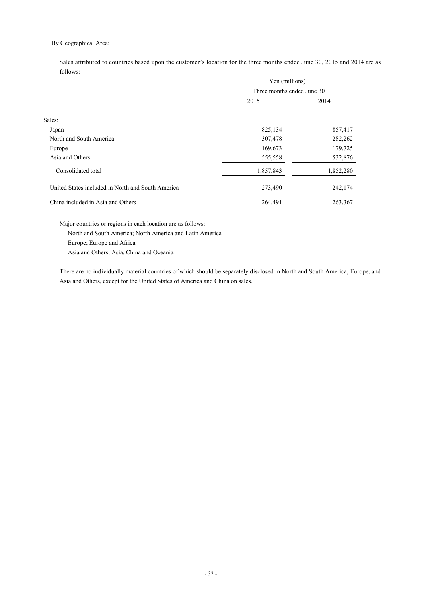# By Geographical Area:

Sales attributed to countries based upon the customer's location for the three months ended June 30, 2015 and 2014 are as follows:

|                                                   | Yen (millions)<br>Three months ended June 30 |           |
|---------------------------------------------------|----------------------------------------------|-----------|
|                                                   |                                              |           |
|                                                   | 2015                                         | 2014      |
|                                                   |                                              |           |
| Sales:                                            |                                              |           |
| Japan                                             | 825,134                                      | 857,417   |
| North and South America                           | 307,478                                      | 282,262   |
| Europe                                            | 169,673                                      | 179,725   |
| Asia and Others                                   | 555,558                                      | 532,876   |
| Consolidated total                                | 1,857,843                                    | 1,852,280 |
| United States included in North and South America | 273,490                                      | 242,174   |
| China included in Asia and Others                 | 264,491                                      | 263,367   |

Major countries or regions in each location are as follows: North and South America; North America and Latin America Europe; Europe and Africa Asia and Others; Asia, China and Oceania

There are no individually material countries of which should be separately disclosed in North and South America, Europe, and Asia and Others, except for the United States of America and China on sales.